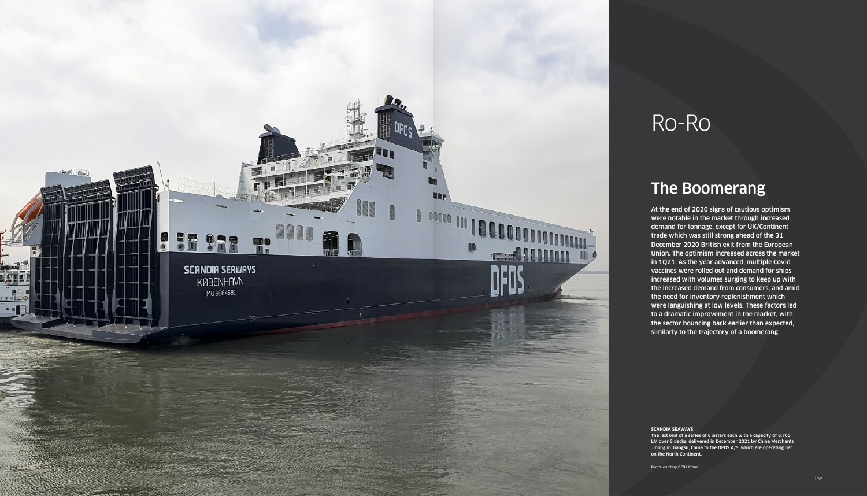

# Ro-Ro

At the end of 2020 signs of cautious optimism were notable in the market through increased demand for tonnage, except for UK/Continent trade which was still strong ahead of the 31 December 2020 British exit from the European Union. The optimism increased across the market in 1Q21. As the year advanced, multiple Covid vaccines were rolled out and demand for ships increased with volumes surging to keep up with the increased demand from consumers, and amid the need for inventory replenishment which were languishing at low levels. These factors led to a dramatic improvement in the market, with the sector bouncing back earlier than expected, similarly to the trajectory of a boomerang.

## The Boomerang

### **SCANDIA SEAWAYS**

The last unit of a series of 6 sisters each with a capacity of 6,700 LM over 5 decks, delivered in December 2021 by China Merchants Jinling in Jiangsu, China to the DFDS A/S, which are operating her on the North Continent.

*Photo: courtesy DFDS Group.*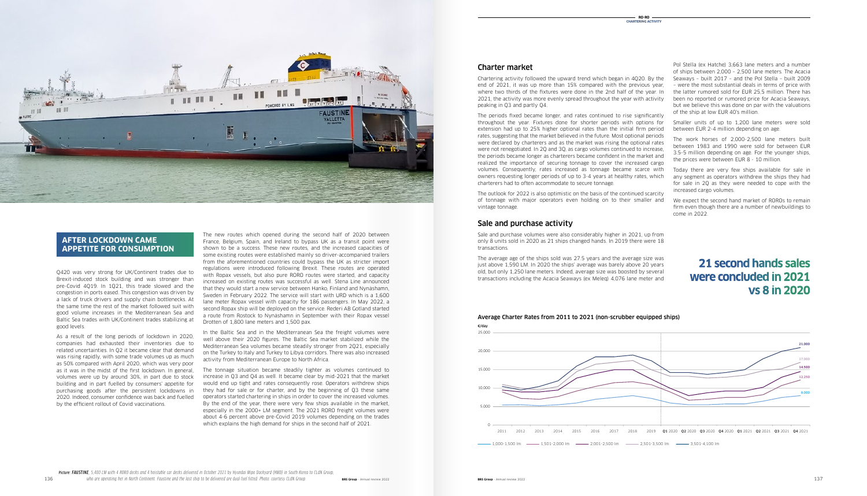The new routes which opened during the second half of 2020 between France, Belgium, Spain, and Ireland to bypass UK as a transit point were shown to be a success. These new routes, and the increased capacities of some existing routes were established mainly so driver-accompanied trailers from the aforementioned countries could bypass the UK as stricter import regulations were introduced following Brexit. These routes are operated with Ropax vessels, but also pure RORO routes were started, and capacity increased on existing routes was successful as well. Stena Line announced that they would start a new service between Hanko, Finland and Nynäshamn, Sweden in February 2022. The service will start with URD which is a 1,600 lane meter Ropax vessel with capacity for 186 passengers. In May 2022, a second Ropax ship will be deployed on the service. Rederi AB Gotland started a route from Rostock to Nynäshamn in September with their Ropax vessel Drotten of 1,800 lane meters and 1,500 pax.

In the Baltic Sea and in the Mediterranean Sea the freight volumes were well above their 2020 figures. The Baltic Sea market stabilized while the Mediterranean Sea volumes became steadily stronger from 2Q21, especially on the Turkey to Italy and Turkey to Libya corridors. There was also increased activity from Mediterranean Europe to North Africa.

The tonnage situation became steadily tighter as volumes continued to increase in Q3 and Q4 as well. It became clear by mid-2021 that the market would end up tight and rates consequently rose. Operators withdrew ships they had for sale or for charter, and by the beginning of Q3 these same operators started chartering in ships in order to cover the increased volumes. By the end of the year, there were very few ships available in the market, especially in the 2000+ LM segment. The 2021 RORO freight volumes were about 4-6 percent above pre-Covid 2019 volumes depending on the trades which explains the high demand for ships in the second half of 2021.

### Charter market

Chartering activity followed the upward trend which began in 4Q20. By the end of 2021, it was up more than 15% compared with the previous year, where two thirds of the fixtures were done in the 2nd half of the year. In 2021, the activity was more evenly spread throughout the year with activity peaking in Q3 and partly Q4.

The periods fixed became longer, and rates continued to rise significantly throughout the year. Fixtures done for shorter periods with options for extension had up to 25% higher optional rates than the initial firm period rates, suggesting that the market believed in the future. Most optional periods were declared by charterers and as the market was rising the optional rates were not renegotiated. In 2Q and 3Q, as cargo volumes continued to increase, the periods became longer as charterers became confident in the market and realized the importance of securing tonnage to cover the increased cargo volumes. Consequently, rates increased as tonnage became scarce with owners requesting longer periods of up to 3-4 years at healthy rates, which charterers had to often accommodate to secure tonnage.

The outlook for 2022 is also optimistic on the basis of the continued scarcity of tonnage with major operators even holding on to their smaller and vintage tonnage.

### Sale and purchase activity

Sale and purchase volumes were also considerably higher in 2021, up from only 8 units sold in 2020 as 21 ships changed hands. In 2019 there were 18 transactions.

The average age of the ships sold was 27.5 years and the average size was just above 1,590 LM. In 2020 the ships' average was barely above 20 years old, but only 1,250 lane meters. Indeed, average size was boosted by several transactions including the Acacia Seaways (ex Meleq) 4,076 lane meter and

Pol Stella (ex Hatche) 3,663 lane meters and a number of ships between 2,000 – 2,500 lane meters. The Acacia Seaways – built 2017 – and the Pol Stella – built 2009 – were the most substantial deals in terms of price with the latter rumored sold for EUR 25,5 million. There has been no reported or rumored price for Acacia Seaways, but we believe this was done on par with the valuations of the ship at low EUR 40's million.

Smaller units of up to 1,200 lane meters were sold between EUR 2-4 million depending on age.

The work horses of 2,000-2,500 lane meters built between 1983 and 1990 were sold for between EUR 3.5-5 million depending on age. For the younger ships, the prices were between EUR 8 - 10 million.

Today there are very few ships available for sale in any segment as operators withdrew the ships they had for sale in 2Q as they were needed to cope with the increased cargo volumes.

We expect the second hand market of ROROs to remain firm even though there are a number of newbuildings to come in 2022.

*Picture: FAUSTINE, 5,400 LM with 4 RORO decks and 4 hoistable car decks delivered in October 2021 by Hyundai Mipo Dockyard (HMD) in South Korea to CLdN Group,* 

Q420 was very strong for UK/Continent trades due to Brexit-induced stock building and was stronger than pre-Covid 4Q19. In 1Q21, this trade slowed and the congestion in ports eased. This congestion was driven by a lack of truck drivers and supply chain bottlenecks. At the same time the rest of the market followed suit with good volume increases in the Mediterranean Sea and Baltic Sea trades with UK/Continent trades stabilizing at good levels.

As a result of the long periods of lockdown in 2020, companies had exhausted their inventories due to related uncertainties. In Q2 it became clear that demand was rising rapidly, with some trade volumes up as much as 50% compared with April 2020, which was very poor as it was in the midst of the first lockdown. In general, volumes were up by around 30%, in part due to stock building and in part fuelled by consumers' appetite for purchasing goods after the persistent lockdowns in 2020. Indeed, consumer confidence was back and fuelled by the efficient rollout of Covid vaccinations.



### **AFTER LOCKDOWN CAME APPETITE FOR CONSUMPTION**

## **21 second hands sales were concluded in 2021 vs 8 in 2020**